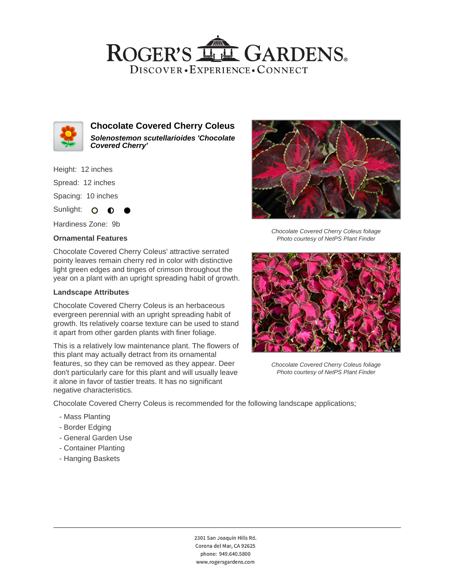## ROGER'S LL GARDENS. DISCOVER · EXPERIENCE · CONNECT



**Chocolate Covered Cherry Coleus Solenostemon scutellarioides 'Chocolate Covered Cherry'**

Height: 12 inches

Spread: 12 inches

Spacing: 10 inches

Sunlight:  $\circ$  $\bullet$ 

Hardiness Zone: 9b

### **Ornamental Features**

Chocolate Covered Cherry Coleus' attractive serrated pointy leaves remain cherry red in color with distinctive light green edges and tinges of crimson throughout the year on a plant with an upright spreading habit of growth.

#### **Landscape Attributes**

Chocolate Covered Cherry Coleus is an herbaceous evergreen perennial with an upright spreading habit of growth. Its relatively coarse texture can be used to stand it apart from other garden plants with finer foliage.

This is a relatively low maintenance plant. The flowers of this plant may actually detract from its ornamental features, so they can be removed as they appear. Deer don't particularly care for this plant and will usually leave it alone in favor of tastier treats. It has no significant negative characteristics.



Chocolate Covered Cherry Coleus foliage Photo courtesy of NetPS Plant Finder



Chocolate Covered Cherry Coleus foliage Photo courtesy of NetPS Plant Finder

Chocolate Covered Cherry Coleus is recommended for the following landscape applications;

- Mass Planting
- Border Edging
- General Garden Use
- Container Planting
- Hanging Baskets

2301 San Joaquin Hills Rd. Corona del Mar, CA 92625 phone: 949.640.5800 www.rogersgardens.com